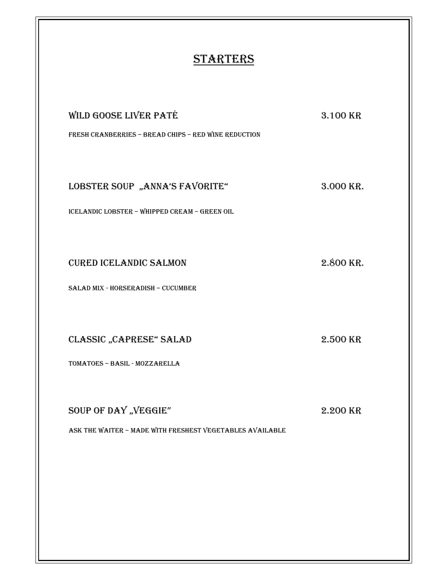## **STARTERS**

| WILD GOOSE LIVER PATÉ<br>FRESH CRANBERRIES - BREAD CHIPS - RED WINE REDUCTION    | 3.100 KR  |
|----------------------------------------------------------------------------------|-----------|
| LOBSTER SOUP "ANNA'S FAVORITE"<br>ICELANDIC LOBSTER - WHIPPED CREAM - GREEN OIL  | 3.000 KR. |
| <b>CURED ICELANDIC SALMON</b><br>SALAD MIX - HORSERADISH - CUCUMBER              | 2.800 KR. |
| <b>CLASSIC "CAPRESE" SALAD</b><br>TOMATOES - BASIL - MOZZARELLA                  | 2.500 KR  |
| SOUP OF DAY "VEGGIE"<br>ASK THE WAITER - MADE WITH FRESHEST VEGETABLES AVAILABLE | 2.200 KR  |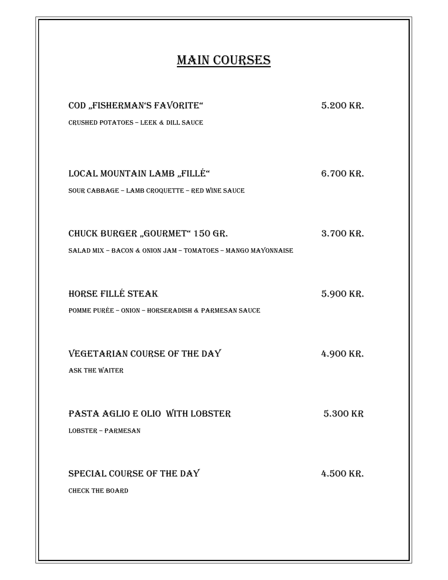## **MAIN COURSES**

| COD "FISHERMAN'S FAVORITE"<br><b>CRUSHED POTATOES - LEEK &amp; DILL SAUCE</b>                 | 5.200 KR. |
|-----------------------------------------------------------------------------------------------|-----------|
| LOCAL MOUNTAIN LAMB, "FILLÉ"<br>SOUR CABBAGE - LAMB CROQUETTE - RED WINE SAUCE                | 6.700 KR. |
| CHUCK BURGER "GOURMET" 150 GR.<br>SALAD MIX - BACON & ONION JAM - TOMATOES - MANGO MAYONNAISE | 3.700 KR. |
| <b>HORSE FILLÉ STEAK</b><br>POMME PURÉE - ONION - HORSERADISH & PARMESAN SAUCE                | 5.900 KR. |
| VEGETARIAN COURSE OF THE DAY<br><b>ASK THE WAITER</b>                                         | 4.900 KR. |
| PASTA AGLIO E OLIO WITH LOBSTER<br><b>LOBSTER - PARMESAN</b>                                  | 5.300 KR  |
| SPECIAL COURSE OF THE DAY<br><b>CHECK THE BOARD</b>                                           | 4.500 KR. |
|                                                                                               |           |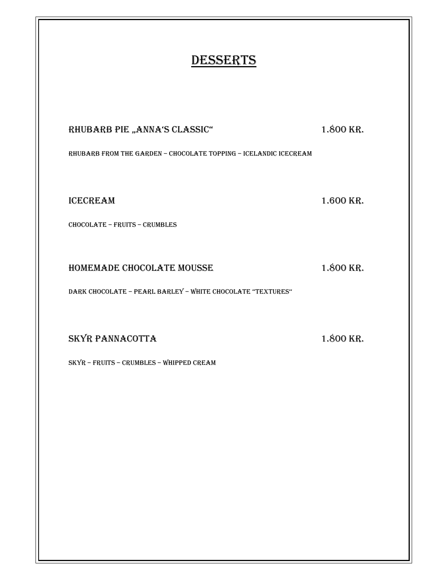## **DESSERTS**

RHUBARB PIE "ANNA'S CLASSIC" 1.800 KR.

RHUBARB FROM THE GARDEN – CHOCOLATE TOPPING – ICELANDIC ICECREAM

ICECREAM 1.600 KR.

CHOCOLATE – FRUITS – CRUMBLES

HOMEMADE CHOCOLATE MOUSSE 1.800 KR.

DARK CHOCOLATE – PEARL BARLEY – WHITE CHOCOLATE ''TEXTURES''

SKYR PANNACOTTA 1.800 KR.

SKYR – FRUITS – CRUMBLES – WHIPPED CREAM